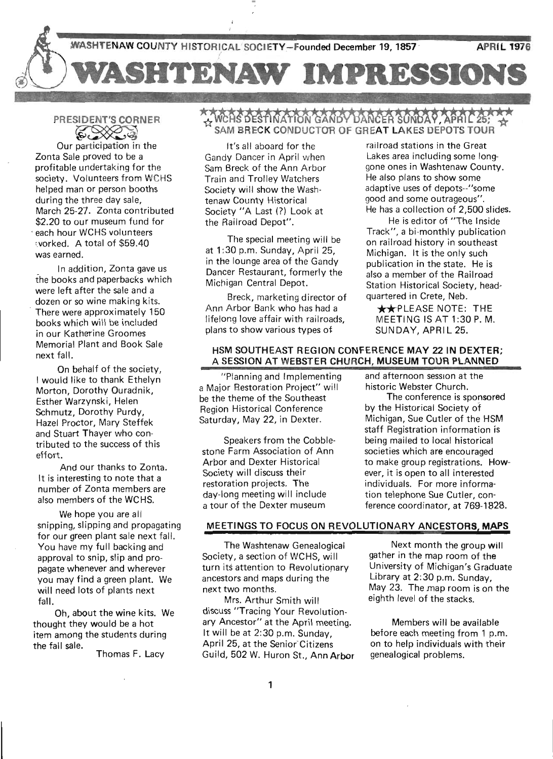

# PRESIDENT'S CORNER SIDENT'S CORNER

Our participation in the Zonta Sale proved to be a profitable undertaking for the society. Volunteers from WCHS helped man or person booths during the three day sale, March 25-27. Zonta contributed \$2.20 to our museum fund for each hour WCHS volunteers vorked. A total of \$59.40 was earned.

In addition, Zonta gave us the books and paperbacks which were left after the sale and a dozen or so wine making kits. There were approximately 150 books which will be included in our Katherine Groomes Memorial Plant and Book Sale ' next fall.

On behalf of the society, I would like to thank Ethelyn Morton, Dorothy Ouradnik, Esther Warzynski, Helen Schmutz, Dorothy Purdy, Hazel Proctor, Mary Steffek and Stuart Thayer who contributed to the success of this effort.

And our thanks to Zonta. It is interesting to note that a number of Zonta members are also members of the WCHS.

We hope you are all snipping, slipping and propagating for our green plant sale next fall. You have my full backing and approval to snip, slip and propagate whenever and wherever you may find a green plant. We will need lots of plants next . fall.

Oh, about the wine kits. We thought they would be a hot item among the students during the fall sale.

Thomas F. Lacy

### $\sim$ ለራስያ ዕድያ በለፈትኩስ ራልስታ $\sim$ চአስራεስ ያዕለচ $\lambda$ የ SAM BRECK CONDUCTOR OF GREAT LAKES DEPOTS TOUR

It's all aboard for the Gandy Dancer in April when Sam Breck of the Ann Arbor Train and Trolley Watchers Society will show the Washtenaw County Historical Society "A Last (?) Look at the Railroad Depot".

The special meeting will be at 1:30 p.m. Sunday, April 25, in the lounge area of the Gandy Dancer Restaurant, formerly the Michigan Central Depot.

Breck, marketing director of Ann Arbor Bank who has had a lifelong love affair with railroads, plans to show various types of

railroad stations in the Great Lakes area including some longgone ones in Washtenaw County. He also plans to show some adaptive uses of depots--"some good and some outrageous". He has a collection of 2,500 slides.

He is editor of "The Inside Track", a bi-monthly publication on railroad history in southeast Michigan. It is the only such publication in the state. He is also a member of the Railroad Station Historical Society, headquartered in Crete, Neb.

\*\*PLEASE NOTE: THE MEETING IS AT 1 :30 P. M. SUNDAY, APRIL 25.

#### HSM SOUTHEAST REGION CONFERENCE MAY 22 IN DEXTER; A SESSION AT WEBSTER CHURCH, MUSEUM TOUR PLANNED

"Planning and Implementing a Major Bestoration Project" will be the theme of the Southeast Region Historical Conference Saturday, May 22, in Dexter.

Speakers from the Cobblestone Farm Association of Ann Arbor and Dexter Historical Society will discuss their restoration projects. The day-long meeting will include a tour of the Dexter museum

and afternoon session at the historic Webster Church.

The conference is sponsored by the Historical Society of Michigan, Sue Cutler of the HSM staff Registration information is being mailed to local historical societies which are encouraged to make group registrations. However, it is open to all interested individuals. For more information telephone Sue Cutler, conference coordinator, at 769-1828.

#### MEETINGS TO FOCUS ON REVOLUTIONARY ANCESTORS, MAPS

The Washtenaw Genealogical Society, a section of WCHS, will turn its attention to Revolutionary ancestors and maps during the next two months.

Mrs. Arthur Smith will discuss "Tracing Your Revolutionary Ancestor" at the April meeting. It will be at 2:30 p.m. Sunday, April 25, at the Senior Citizens Guild, 502 W. Huron St., Ann Arbor

Next month the group will gather in the map room of the University of Michigan's Graduate Library at 2:30 p.m. Sunday, May 23. The map room is on the eighth level of the stacks.

Members will be available before each meeting from 1 p.m. on to help individuals with their genealogical problems.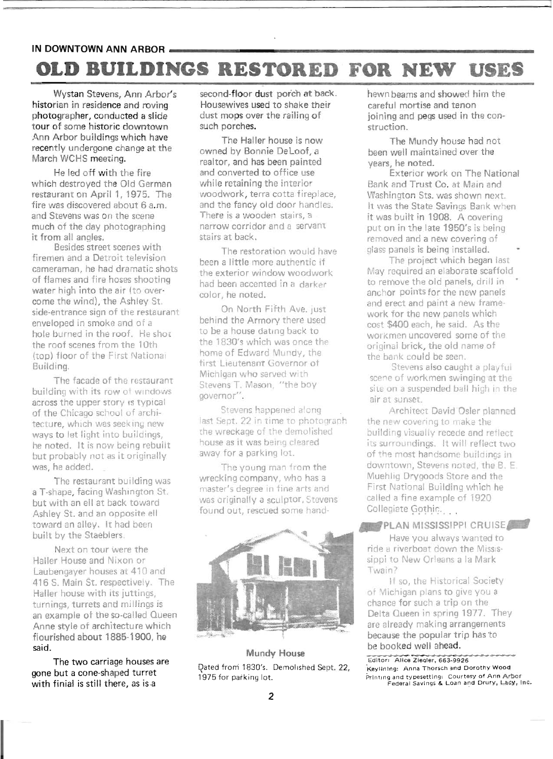# IN DOWNTOWN ANN ARBOR **\_\_\_\_\_\_\_\_\_\_\_\_\_\_\_\_\_\_\_\_\_\_\_\_\_ \_ OLD BUILDINGS RESTORED · FOR NEW USES**

Wystan Stevens, Ann Arbor's historian in residence and roving photographer, conducted a slide tour of some historic downtown Ann Arbor buildings which have recently undergone change at the March WCHS meeting.

He led off with the fire which destroyed the Old German restaurant on April 1, 1975. The fire was discovered about 6 a.m. and Stevens was on the scene much of the day photographing it from all angles.

. Besides street scenes with firemen and a Detroit television cameraman, he had dramatic shots of flames and fire hoses shooting water high into the air (to overcome the wind), the Ashley St. side-entrance sign of the restaurant enveloped in smoke and of a hole burned in the roof. He shot the roof scenes from the 10th (top) floor of the First National Building.

The facade of the restaurant building with its row of windows across the upper story is typical of the Chicago school of architecture, which was seeking new ways to let light into buildings, he noted. It is now being rebuilt but probably not as it originally was, he added.

The restaurant building was a T-shape, facing Washington St. but with an ell at back toward Ashley St. and an opposite ell toward an alley. It had been built by the Staeblers.

Next on tour were the Hailer House and Nixon or laubengayer houses at 410 and 416 S. Main St. respectively. The Haller house with its juttings, turnings, turrets and millings is an example ot the so-called Queen Anne style of architecture which flourished about 1885-1900, he said.

The two carriage houses are gone but a cone-shaped turret with finial is still there, as is.a

second-floor dust porch at back. Housewives used to shake their dust mops over the railing of such porches.

The Haller house is now owned by Bonnie Deloot, a realtor, and has been painted and converted to office use while retaining the interior woodwork, terra cotta fireplace, and the fancy old door handles. Thete is a wooden stairs, a narrow corridor and a servam: stairs at back.

The restoration would have been a little more authentic if the exterior window woodwork had been accented in a darker color, he noted.

On North Fifth Ave. just behind the Armory there used to be a house dating back to the 1830's which was once the home of Edward Mundy, the first Lieutenant Governor of Michigan who served with Stevens T. Mason, "the boy governor".

Stevens happened along last Sept. 22 in time to photograph the wreckage of the demolished house as it was being cleared away for a parking lot.

The young man from the wrecking company, who has a master's degree in fine arts and was originally a sculptor, Stevens found out, rescued some hand-



#### Mundy House Qated from 1830's. Demol ished Sept. 22, 1975 for parking lot.

hewn beams and showed him the careful mortise and tenon joining and pegs used in the construction.

The Mundy house had not been well maintained over the years, he noted.

Exterior work on The National Bank and Trust Co. at Main and Washington Sts. was shown next. It was the State Savings Bank when it was built in 1908. A covering put on in the late 1950's is being removed and a new covering of glass panels is being installed.

The project which began last May required an elaborate scaffold to remove the old panels, drill in anchor points for the new panels and erect and paint a new framework for the new panels which cost \$400 each, he said. As the workmen uncovered some of the original brick, the old name of the bank could be seen.

Stevens also caught a playfui scene of workmen swinging at the site on a suspended ball high in the air at sunset,

Architect David 'Osler planned the new covering to make the building visually recede and reflect its surroundings. It will reflect two of the most handsome buildings in downtown, Stevens noted, the B. E. Muehlig Drygoods Store and the First National Building which he called a fine example of 1920 Collegiate Gothic. ...

#### PLAN MISSISSIPPI CRUISE

Have you always wanted to ride a riverboat down the Mississippi to New Orleans a la Mark Twain?

If so, the Historical Society of Michigan plans to give you a chance for such a trip on the Delta Queen in spring 1977. They are already making arrangements because the popular trip has to be booked well ahead.

Editor: Alice Ziegler, 663-9926 'Keylinlng: Anna Thorsch and Dorothy Wood .<br>Printing and typesetting: Courtesy of Ann Arbor<br>Federal Savings & Loan and Drury, Lacy, Inc.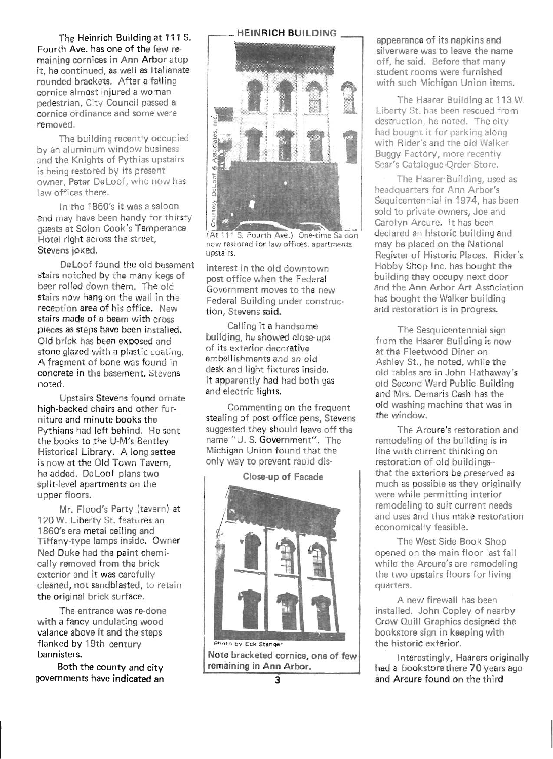The Heinrich Building at 111 S. Fourth Ave. has one of the few remaining cornices in Ann Arbor atop it, he continued, as well as Italianate rounded brackets. After a falling cornice almost injured a woman pedestrian, City Council passed a cornice ordinance and some were removed.

The building recently occupied by an aluminum window business and the Knights of Pythias upstairs is being restored by its present owner, Peter De Loof, who now has law offices there.

In the 1860's it was a saloon and may have been handy for thirsty guests at Solon Cook's Temperance Hotel right across the street, Stevens joked.

Deloof found the old basement ~'tairs notched by the many kegs of beer rolled down them. The old stairs now hang on the wall in the reception area of his office. New stairs made of a beam with cross pieces as steps have been installed. Old brick has been exposed and stone glazed with a plastic coating. A fragment of bone was found in concrete in the basement, Stevens noted.

Upstairs Stevens found ornate high·backed chairs and other furniture and minute books the Pythians had left behind. He sent the books to the U-M's Bentley Historical Library. A long settee is now at the Old Town Tavern, he added. De Loof plans two split-level apartments on the upper floors.

Mr. Flood's Party (tavern) at 120 W. Liberty St. features an 1860's era metal ceiling and Tiffany-type lamps inside. Owner Ned Duke had the paint chemically removed from the brick exterior and it was carefully cleaned, not sandblasted, to retain the original brick surface.

The entrance was re-done with a fancy undulating wood valance above it and the steps flanked by 19th century bannisters.

Both the county and city governments have indicated an





(At 111 S. Fourth Ave.) One-time Saloon now restored for law offices, apartments upstairs.

interest in the old downtown post office when the Federal Government moves to the new Federal Building under construction, Stevens said.

Calling it a handsome building, he showed close-ups of its exterior decorative embellishments and an old desk and light fixtures inside. It apparently had had both gas and electric lights.

Commenting on the frequent stealing of post office pens, Stevens suggested they should leave off the name "U. S. Government". The Michigan Union found that the only way to prevent rapid dis-

#### Close-up of Facade



Note bracketed cornice, one of few remaining in Ann Arbor.

appearance of its napkins and silverware was to leave the name off, he said. Before that many student rooms were furnished with such Michigan Union items.

The Haarer Building at 113 W. Liberty St. has been rescued from destruction, he noted. The city had bought it for parking along with Rider's and the old Walker Buggy Factory, more recently Sear's Catalogue-Order Store.

The Haarer Building, used as headquarters for Ann Arbor's Sequicentennial in 1974, has been sold to private owners, Joe and Carolyn Arcure. It has been declared an historic building and may be placed on the National Register of Historic Places. Rider's Hobby Shop Inc. has bought the building they occupy next door and the Ann Arbor Art Association has bought the Walker building and restoration is in progress.

The Sesquicentennial sign from the Haarer Building is now at the Fleetwood Diner on Ashley St., he noted, while the old tables are in John Hathaway's old Second Ward Public Building and Mrs. Demaris Cash has the old washing machine that was in the window.

The Arcure's restoration and remodeling of the building is in line with current thinking on restoration of old buildings- that the exteriors be preserved as much as possible as they originally were while permitting interior remodeling to suit current needs and uses and thus make restoration economically feasible.

The West Side Book Shop opened on the main floor last fall while the Arcure's are remodeling the two upstairs floors for living qUarters.

A new firewall has been installed. John Copley of nearby Crow Quill Graphics designed the bookstore sign in keeping with the historic exterior.

Interestingly, Haarers originally had a bookstore there 70 years ago and Arcure found on the third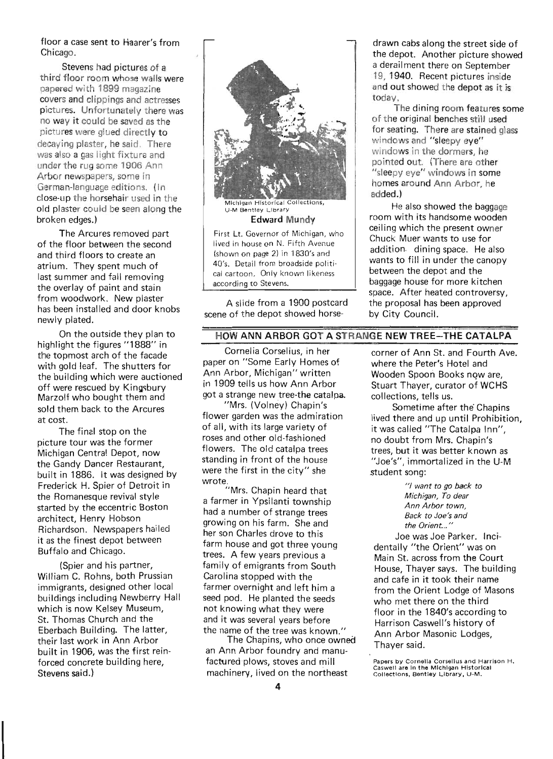floor a case sent to Haarer's from Chicago.

Stevens had pictures of a third floor room whose walls were papered with 1899 magazine covers and clippings and actresses pictures. Unfortunately there was no way it could be saved as the pictures were glued directly to decaying plaster, he said. There was also a gas light fixture and under the rug some 1906 Ann Arbor newspapers, some in German-language editions. (In close-up the horsehair used in the old plaster could be seen along the broken edges.)

The Arcures removed part of the floor between the second and third floors to create an atrium. They spent much of last summer and fall removing the overlay of paint and stain from woodwork. New plaster has been installed and door knobs newly plated.

On the outside they plan to highlight the figures "1888" in the topmost arch of the facade with gold leaf. The shutters for the building which were auctioned off were rescued by Kingsbury Marzolf who bought them and sold them back to the Arcures at cost.

The final stop on the picture tour was the former Michigan Central Depot, now the Gandy Dancer Restaurant, built in 1886. It was designed by Frederick H. Spier of Detroit in the Romanesque revival style started by the eccentric Boston architect, Henry Hobson Richardson. Newspapers hailed it as the finest depot between Buffalo and Chicago.

(Spier and his partner, William C. Rohns, both Prussian immigrants, designed other local buildings including Newberry Hall which is now Kelsey Museum, St. Thomas Church and the Eberbach Building. The latter, their last work in Ann Arbor built in 1906, was the first reinforced concrete building here, Stevens said.)



A slide from a 1900 postcard scene of the depot showed horsedrawn cabs along the street side of the depot. Another picture showed a derailment there on September 19,1 940. Recent pictures inside and out showed the depot as it is today.

The dining room features some of the original benches still used for seating. There are stained glass windows and "sleepy eye" windows in the dormers, he pointed out. (There are other "sleepy eye" windows in some homes around Ann Arbor, he added.)

He also showed the baggage room with its handsome wooden ceiling which the present owner Chuck Muer wants to use for addition. dining space. He also wants to fill in under the canopy between the depot and the baggage house for more kitchen space. After heated controversy, the proposal has been approved by City Council.

#### HOW ANN ARBOR GOT A STRANGE NEW TREE-THE CATALPA

Cornelia Corselius, in her paper on "Some Early Homes of Ann Arbor, Michigan" written in 1909 tells us how Ann Arbor got a strange new tree-the catalpa.

"Mrs. (Volney) Chapin's flower garden was the admiration of all, with its large variety of roses and other old-fashioned flowers. The old catalpa trees standing in front of the house were the first in the city" she wrote

"Mrs. Chapin heard that a farmer in Ypsilanti township had a number of strange trees growing on his farm. She and her son Charles drove to this farm house and got three young trees. A few years previous a family of emigrants from South Carolina stopped with the farmer overnight and left him a seed pod. He planted the seeds not knowing what they were and it was several years before the name of the tree was known."

The Chapins, who once owned an Ann Arbor foundry and manufactured plows, stoves and mill machinery, lived on the northeast

corner of Ann St. and Fourth Ave. where the Peter's Hotel and Wooden Spoon Books now are, Stuart Thayer, curator of WCHS collections, tells us.

Sometime after the' Chapins lived there and up until Prohibition, it was called "The Catalpa Inn", no doubt from Mrs. Chapin's trees, but it was better known as "Joe's", immortalized in the U-M student song:

> "/ *want to go back to Michigan, To dear Ann Arbor town, Back to Joe's and the Orient ... "*

Joe was Joe Parker. Incidentally "the Orient" was on Main St. across from the Court House, Thayer says. The building and cafe in it took their name from the Orient Lodge of Masons who met there on the third floor in the 1840's according to Harrison Caswell's history of Ann Arbor Masonic Lodges, Thayer said.

Papers by Cornelia Corsellus and Harrison H. Caswell are In the Michigan Historical Collections, Bentley Library, U-M.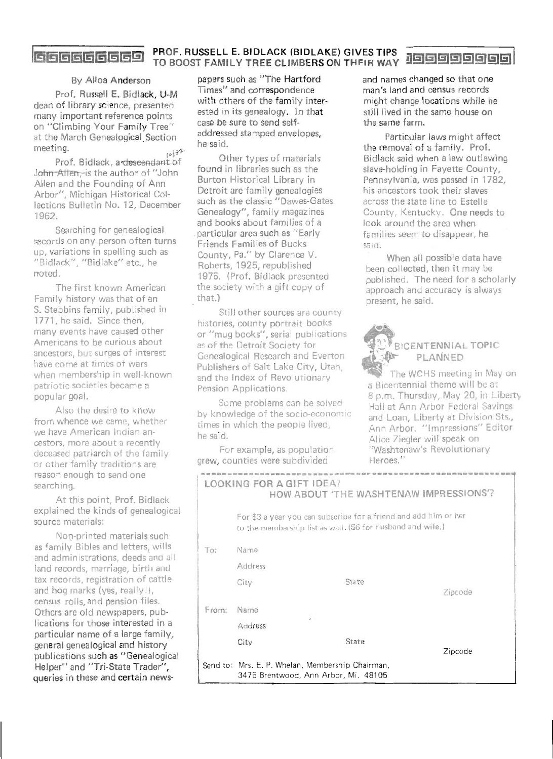## **GGGGGGGGG** PROF. RUSSELL E. BIDLACK (BIDLAKE) GIVES TIPS **jogggggggg**

#### By Alloa Anderson

Prof. Russell E. Bidlack, U-M dean of library science, presented many important reference points on "Climbing Your Family Tree" at the March Genealpgical. Section meeting.  $\frac{18}{2}$ 

Prof. Bidlack, a descendant of John Allen-is the author of "John Allen and the Founding of Ann Arbor", Michigan Historical Collections Bulletin No. 12, December 1962.

Searching for genealogical secords on any person often turns up, variations in spelling such as "Bidlack", "Bidlake" etc., he noted.

The first known American Family history was that of an S. Stebbins family, published in 1771, he said. Since then, many events have caused other Americans to be curious about ancestors, but surges of interest have come at times of wars when membership in well-known patriotic societies became a popular goal.

Also the desire to know from whence we came, whether we have American Indian ancestors, more about a recently deceased patriarch of the family or other family traditions are reason enough to send one searching.

At this point, Prof. Bidlack explained the kinds of genealogical source materials:

Noo-printed materials such as family Bibles and letters, wills and administrations, deeds and all land records, marriage, birth and tax records, registration of cattle and hog marks (yes, really!), census rolls, and pension files. Others are old newspapers, publications for those interested in a particular name of a large family, general genealogical and history publications such as "Genealogical Helper" and "Tri-State Trader", queries in these and certain news-

papers such as "The Hartford Times" and correspondence with others of the family interested in its genealogy. In that case be sure to send selfaddressed stamped envelopes, he said.

Other types of materials found in libraries such as the Burton Historical Library in Detroit are family genealogies such as the classic "Dawes-Gates Genealogy", family magazines and books about families of a particular area such as "Early Friends Families of Bucks County, Pa\_" by Clarence V. Roberts, 1925, republished 1975. (Prof. Bidlack presented the society with a gift copy of that.)

Still other sources are county histories, county portrait books or "mug books", serial publications as of the Detroit Society for Genealogical Research and Everton Publishers of Salt Lake City, Utah, and the Index of Revolutionary . Pension Applications.

Some problems can be solved by knowledge of the socio-economic times in which the people lived, he said.

For example, as population grew, counties were subdivided

and names changed so that one man's land and census. records might change locations while he still lived in the same house on the same farm.

Particular laws might affect the removal of a family. Prof. Bidlack said when a law outlawing slave-holding in Fayette County, Pennsylvania, was passed in 1782, his ancestors took their slaves· across the state line to Estelle County, Kentucky. One needs to look around the area when families seem to disappear, he said.

When all possible data have been collected, then it may be published. The need for a scholarly approach and accuracy is always present, he said.



### BICENTENNIAL TOPIC PLANNED

The WCHS meeting in May on a Bicentennial theme will be at 8 p.m. Thursday, May 20, in Liberty Hall at Ann Arbor Federal Savings and Loan, Liberty at Division Sts., Ann Arbor. "Impressions" Editor Alice Ziegler will speak on "Washtenaw's Revolutionary Heroes."

|       |                | LOOKING FOR A GIFT IDEA?<br>HOW ABOUT 'THE WASHTENAW IMPRESSIONS'?                                                             |         |
|-------|----------------|--------------------------------------------------------------------------------------------------------------------------------|---------|
|       |                | For \$3 a year you can subscribe for a friend and add him or her<br>to the membership list as well. (S6 for husband and wife.) |         |
| To:   | Name           |                                                                                                                                |         |
|       | <b>Address</b> |                                                                                                                                |         |
|       | City           | State                                                                                                                          | Zipcode |
| From: | Name           | WU.                                                                                                                            |         |
|       | Address        |                                                                                                                                |         |
|       | City           | State                                                                                                                          | Zipcode |
|       |                | Send to: Mrs. E. P. Whelan, Membership Chairman,<br>3475 Brentwood, Ann Arbor, Mi. 48105                                       |         |